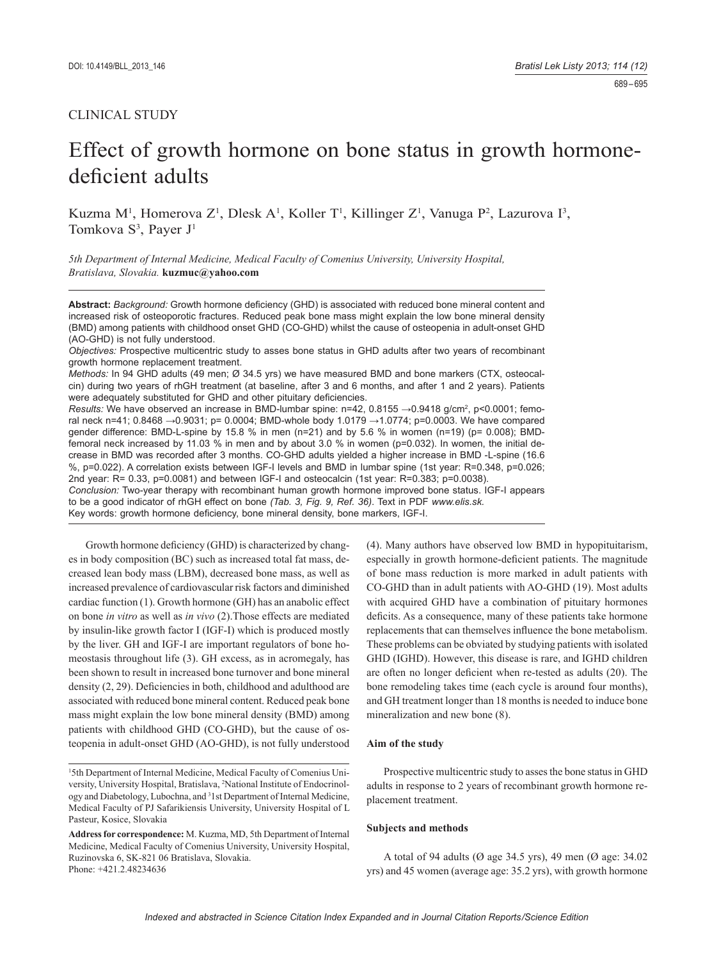# Effect of growth hormone on bone status in growth hormonedeficient adults

Kuzma M<sup>1</sup>, Homerova Z<sup>1</sup>, Dlesk A<sup>1</sup>, Koller T<sup>1</sup>, Killinger Z<sup>1</sup>, Vanuga P<sup>2</sup>, Lazurova I<sup>3</sup>, Tomkova S<sup>3</sup>, Payer J<sup>1</sup>

*5th Department of Internal Medicine, Medical Faculty of Comenius University, University Hospital, Bratislava, Slovakia.* **kuzmuc@yahoo.com**

Abstract: Background: Growth hormone deficiency (GHD) is associated with reduced bone mineral content and increased risk of osteoporotic fractures. Reduced peak bone mass might explain the low bone mineral density (BMD) among patients with childhood onset GHD (CO-GHD) whilst the cause of osteopenia in adult-onset GHD (AO-GHD) is not fully understood.

*Objectives:* Prospective multicentric study to asses bone status in GHD adults after two years of recombinant growth hormone replacement treatment.

*Methods:* In 94 GHD adults (49 men; Ø 34.5 yrs) we have measured BMD and bone markers (CTX, osteocalcin) during two years of rhGH treatment (at baseline, after 3 and 6 months, and after 1 and 2 years). Patients were adequately substituted for GHD and other pituitary deficiencies.

Results: We have observed an increase in BMD-lumbar spine: n=42, 0.8155 →0.9418 g/cm<sup>2</sup>, p<0.0001; femoral neck n=41; 0.8468 →0.9031; p= 0.0004; BMD-whole body 1.0179 →1.0774; p=0.0003. We have compared gender difference: BMD-L-spine by 15.8 % in men (n=21) and by 5.6 % in women (n=19) (p=  $0.008$ ); BMDfemoral neck increased by 11.03 % in men and by about 3.0 % in women (p=0.032). In women, the initial decrease in BMD was recorded after 3 months. CO-GHD adults yielded a higher increase in BMD -L-spine (16.6 %, p=0.022). A correlation exists between IGF-I levels and BMD in lumbar spine (1st year: R=0.348, p=0.026; 2nd year: R= 0.33, p=0.0081) and between IGF-I and osteocalcin (1st year: R=0.383; p=0.0038).

*Conclusion:* Two-year therapy with recombinant human growth hormone improved bone status. IGF-I appears to be a good indicator of rhGH effect on bone *(Tab. 3, Fig. 9, Ref. 36)*. Text in PDF *www.elis.sk.* Key words: growth hormone deficiency, bone mineral density, bone markers, IGF-I.

Growth hormone deficiency (GHD) is characterized by changes in body composition (BC) such as increased total fat mass, decreased lean body mass (LBM), decreased bone mass, as well as increased prevalence of cardiovascular risk factors and diminished cardiac function (1). Growth hormone (GH) has an anabolic effect on bone *in vitro* as well as *in vivo* (2).Those effects are mediated by insulin-like growth factor I (IGF-I) which is produced mostly by the liver. GH and IGF-I are important regulators of bone homeostasis throughout life (3). GH excess, as in acromegaly, has been shown to result in increased bone turnover and bone mineral density  $(2, 29)$ . Deficiencies in both, childhood and adulthood are associated with reduced bone mineral content. Reduced peak bone mass might explain the low bone mineral density (BMD) among patients with childhood GHD (CO-GHD), but the cause of osteopenia in adult-onset GHD (AO-GHD), is not fully understood

(4). Many authors have observed low BMD in hypopituitarism, especially in growth hormone-deficient patients. The magnitude of bone mass reduction is more marked in adult patients with CO-GHD than in adult patients with AO-GHD (19). Most adults with acquired GHD have a combination of pituitary hormones deficits. As a consequence, many of these patients take hormone replacements that can themselves influence the bone metabolism. These problems can be obviated by studying patients with isolated GHD (IGHD). However, this disease is rare, and IGHD children are often no longer deficient when re-tested as adults (20). The bone remodeling takes time (each cycle is around four months), and GH treatment longer than 18 months is needed to induce bone mineralization and new bone (8).

# **Aim of the study**

Prospective multicentric study to asses the bone status in GHD adults in response to 2 years of recombinant growth hormone replacement treatment.

# **Subjects and methods**

A total of 94 adults (Ø age 34.5 yrs), 49 men (Ø age: 34.02 yrs) and 45 women (average age: 35.2 yrs), with growth hormone

<sup>&</sup>lt;sup>1</sup>5th Department of Internal Medicine, Medical Faculty of Comenius University, University Hospital, Bratislava, 2 National Institute of Endocrinology and Diabetology, Lubochna, and 3 1st Department of Internal Medicine, Medical Faculty of PJ Safarikiensis University, University Hospital of L Pasteur, Kosice, Slovakia

**Address for correspondence:** M. Kuzma, MD, 5th Department of Internal Medicine, Medical Faculty of Comenius University, University Hospital, Ruzinovska 6, SK-821 06 Bratislava, Slovakia. Phone: +421.2.48234636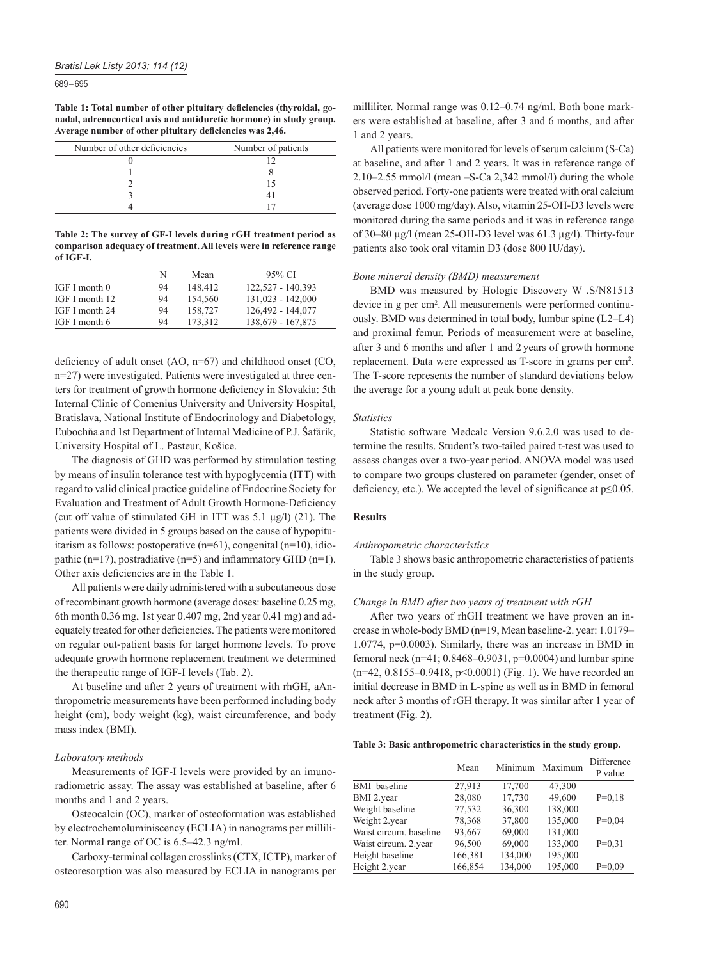689 – 695

Table 1: Total number of other pituitary deficiencies (thyroidal, go**nadal, adrenocortical axis and antiduretic hormone) in study group.**  Average number of other pituitary deficiencies was 2,46.

| Number of other deficiencies | Number of patients |
|------------------------------|--------------------|
|                              |                    |
|                              |                    |
|                              |                    |
|                              |                    |
|                              |                    |

**Table 2: The survey of GF-I levels during rGH treatment period as comparison adequacy of treatment. All levels were in reference range of IGF-I.**

|                | N  | Mean    | 95% CI              |
|----------------|----|---------|---------------------|
| IGF I month 0  | 94 | 148,412 | 122,527 - 140,393   |
| IGF I month 12 | 94 | 154.560 | $131,023 - 142,000$ |
| IGF I month 24 | 94 | 158,727 | 126,492 - 144,077   |
| IGF I month 6  | 94 | 173.312 | 138,679 - 167,875   |

deficiency of adult onset  $(AO, n=67)$  and childhood onset  $(CO, n=67)$ n=27) were investigated. Patients were investigated at three centers for treatment of growth hormone deficiency in Slovakia: 5th Internal Clinic of Comenius University and University Hospital, Bratislava, National Institute of Endocrinology and Diabetology, Ľubochňa and 1st Department of Internal Medicine of P.J. Šafárik, University Hospital of L. Pasteur, Košice.

The diagnosis of GHD was performed by stimulation testing by means of insulin tolerance test with hypoglycemia (ITT) with regard to valid clinical practice guideline of Endocrine Society for Evaluation and Treatment of Adult Growth Hormone-Deficiency (cut off value of stimulated GH in ITT was 5.1 μg/l) (21). The patients were divided in 5 groups based on the cause of hypopituitarism as follows: postoperative (n=61), congenital (n=10), idiopathic (n=17), postradiative (n=5) and inflammatory GHD (n=1). Other axis deficiencies are in the Table 1.

All patients were daily administered with a subcutaneous dose of recombinant growth hormone (average doses: baseline 0.25 mg, 6th month 0.36 mg, 1st year 0.407 mg, 2nd year 0.41 mg) and adequately treated for other deficiencies. The patients were monitored on regular out-patient basis for target hormone levels. To prove adequate growth hormone replacement treatment we determined the therapeutic range of IGF-I levels (Tab. 2).

At baseline and after 2 years of treatment with rhGH, aAnthropometric measurements have been performed including body height (cm), body weight (kg), waist circumference, and body mass index (BMI).

### *Laboratory methods*

Measurements of IGF-I levels were provided by an imunoradiometric assay. The assay was established at baseline, after 6 months and 1 and 2 years.

Osteocalcin (OC), marker of osteoformation was established by electrochemoluminiscency (ECLIA) in nanograms per milliliter. Normal range of OC is 6.5–42.3 ng/ml.

Carboxy-terminal collagen crosslinks (CTX, ICTP), marker of osteoresorption was also measured by ECLIA in nanograms per milliliter. Normal range was 0.12–0.74 ng/ml. Both bone markers were established at baseline, after 3 and 6 months, and after 1 and 2 years.

All patients were monitored for levels of serum calcium (S-Ca) at baseline, and after 1 and 2 years. It was in reference range of 2.10–2.55 mmol/l (mean –S-Ca 2,342 mmol/l) during the whole observed period. Forty-one patients were treated with oral calcium (average dose 1000 mg/day). Also, vitamin 25-OH-D3 levels were monitored during the same periods and it was in reference range of 30–80 μg/l (mean 25-OH-D3 level was 61.3 μg/l). Thirty-four patients also took oral vitamin D3 (dose 800 IU/day).

## *Bone mineral density (BMD) measurement*

BMD was measured by Hologic Discovery W .S/N81513 device in g per cm<sup>2</sup>. All measurements were performed continuously. BMD was determined in total body, lumbar spine (L2–L4) and proximal femur. Periods of measurement were at baseline, after 3 and 6 months and after 1 and 2 years of growth hormone replacement. Data were expressed as T-score in grams per cm2 . The T-score represents the number of standard deviations below the average for a young adult at peak bone density.

#### *Statistics*

Statistic software Medcalc Version 9.6.2.0 was used to determine the results. Student's two-tailed paired t-test was used to assess changes over a two-year period. ANOVA model was used to compare two groups clustered on parameter (gender, onset of deficiency, etc.). We accepted the level of significance at  $p \le 0.05$ .

## **Results**

## *Anthropometric characteristics*

Table 3 shows basic anthropometric characteristics of patients in the study group.

## *Change in BMD after two years of treatment with rGH*

After two years of rhGH treatment we have proven an increase in whole-body BMD (n=19, Mean baseline-2. year: 1.0179– 1.0774, p=0.0003). Similarly, there was an increase in BMD in femoral neck (n=41; 0.8468–0.9031, p=0.0004) and lumbar spine (n=42, 0.8155–0.9418, p<0.0001) (Fig. 1). We have recorded an initial decrease in BMD in L-spine as well as in BMD in femoral neck after 3 months of rGH therapy. It was similar after 1 year of treatment (Fig. 2).

#### **Table 3: Basic anthropometric characteristics in the study group.**

|                        | Mean    | Minimum | Maximum | Difference<br>P value |
|------------------------|---------|---------|---------|-----------------------|
| <b>BMI</b> baseline    | 27,913  | 17,700  | 47,300  |                       |
| BMI 2.year             | 28,080  | 17,730  | 49,600  | $P=0.18$              |
| Weight baseline        | 77,532  | 36,300  | 138,000 |                       |
| Weight 2.year          | 78,368  | 37,800  | 135,000 | $P=0.04$              |
| Waist circum, baseline | 93,667  | 69,000  | 131,000 |                       |
| Waist circum. 2.year   | 96,500  | 69,000  | 133,000 | $P=0.31$              |
| Height baseline        | 166,381 | 134,000 | 195,000 |                       |
| Height 2.year          | 166,854 | 134,000 | 195,000 | $P=0.09$              |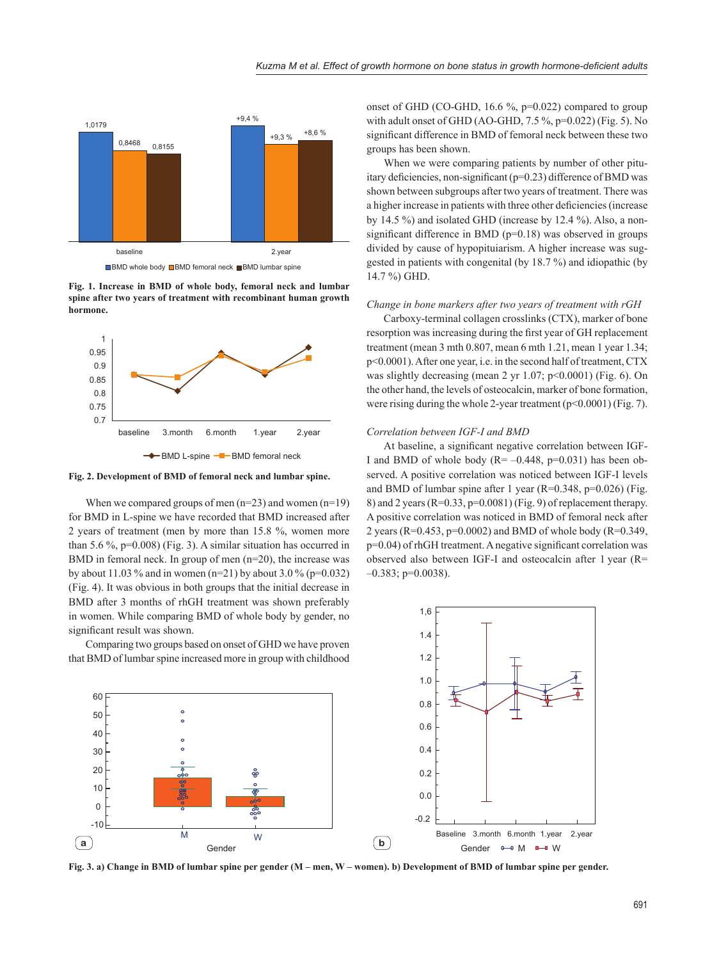

**Fig. 1. Increase in BMD of whole body, femoral neck and lumbar spine after two years of treatment with recombinant human growth hormone.**



**Fig. 2. Development of BMD of femoral neck and lumbar spine.**

When we compared groups of men  $(n=23)$  and women  $(n=19)$ for BMD in L-spine we have recorded that BMD increased after 2 years of treatment (men by more than 15.8 %, women more than 5.6 %, p=0.008) (Fig. 3). A similar situation has occurred in BMD in femoral neck. In group of men  $(n=20)$ , the increase was by about 11.03 % and in women (n=21) by about 3.0 % (p=0.032) (Fig. 4). It was obvious in both groups that the initial decrease in BMD after 3 months of rhGH treatment was shown preferably in women. While comparing BMD of whole body by gender, no significant result was shown.

Comparing two groups based on onset of GHD we have proven that BMD of lumbar spine increased more in group with childhood

onset of GHD (CO-GHD, 16.6 %, p=0.022) compared to group with adult onset of GHD (AO-GHD, 7.5 %, p=0.022) (Fig. 5). No significant difference in BMD of femoral neck between these two groups has been shown.

When we were comparing patients by number of other pituitary deficiencies, non-significant (p=0.23) difference of BMD was shown between subgroups after two years of treatment. There was a higher increase in patients with three other deficiencies (increase by 14.5 %) and isolated GHD (increase by 12.4 %). Also, a nonsignificant difference in BMD ( $p=0.18$ ) was observed in groups divided by cause of hypopituiarism. A higher increase was suggested in patients with congenital (by 18.7 %) and idiopathic (by 14.7 %) GHD.

# *Change in bone markers after two years of treatment with rGH*

Carboxy-terminal collagen crosslinks (CTX), marker of bone resorption was increasing during the first year of GH replacement treatment (mean 3 mth 0.807, mean 6 mth 1.21, mean 1 year 1.34; p<0.0001). After one year, i.e. in the second half of treatment, CTX was slightly decreasing (mean 2 yr 1.07;  $p<0.0001$ ) (Fig. 6). On the other hand, the levels of osteocalcin, marker of bone formation, were rising during the whole 2-year treatment  $(p<0.0001)$  (Fig. 7).

## *Correlation between IGF-I and BMD*

1.2 1.4 1,6

At baseline, a significant negative correlation between IGF-I and BMD of whole body  $(R=-0.448, p=0.031)$  has been observed. A positive correlation was noticed between IGF-I levels and BMD of lumbar spine after 1 year (R=0.348, p=0.026) (Fig. 8) and 2 years ( $R=0.33$ ,  $p=0.0081$ ) (Fig. 9) of replacement therapy. A positive correlation was noticed in BMD of femoral neck after 2 years (R=0.453, p=0.0002) and BMD of whole body (R=0.349,  $p=0.04$ ) of rhGH treatment. A negative significant correlation was observed also between IGF-I and osteocalcin after 1 year (R=  $-0.383$ ; p=0.0038).



**Fig. 3. a) Change in BMD of lumbar spine per gender (M – men, W – women). b) Development of BMD of lumbar spine per gender.**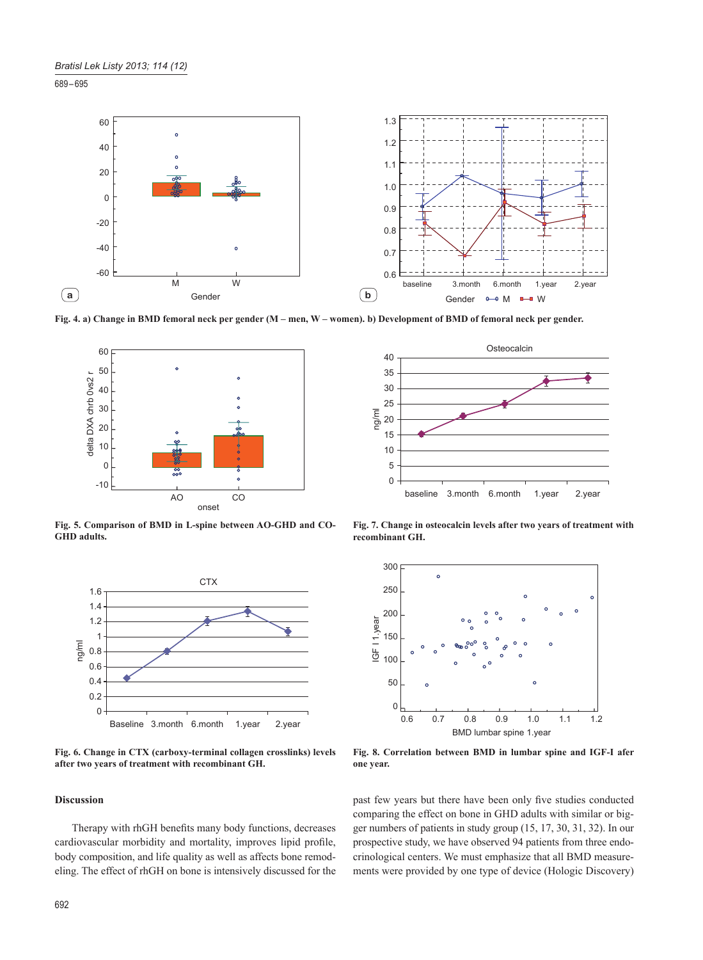689 – 695



**Fig. 4. a) Change in BMD femoral neck per gender (M – men, W – women). b) Development of BMD of femoral neck per gender.**



**Fig. 5. Comparison of BMD in L-spine between AO-GHD and CO-GHD adults.**



**Fig. 6. Change in CTX (carboxy-terminal collagen crosslinks) levels after two years of treatment with recombinant GH.**

# **Discussion**

Therapy with rhGH benefits many body functions, decreases cardiovascular morbidity and mortality, improves lipid profile, body composition, and life quality as well as affects bone remodeling. The effect of rhGH on bone is intensively discussed for the



**Fig. 7. Change in osteocalcin levels after two years of treatment with recombinant GH.**



**Fig. 8. Correlation between BMD in lumbar spine and IGF-I afer one year.**

past few years but there have been only five studies conducted comparing the effect on bone in GHD adults with similar or bigger numbers of patients in study group (15, 17, 30, 31, 32). In our prospective study, we have observed 94 patients from three endocrinological centers. We must emphasize that all BMD measurements were provided by one type of device (Hologic Discovery)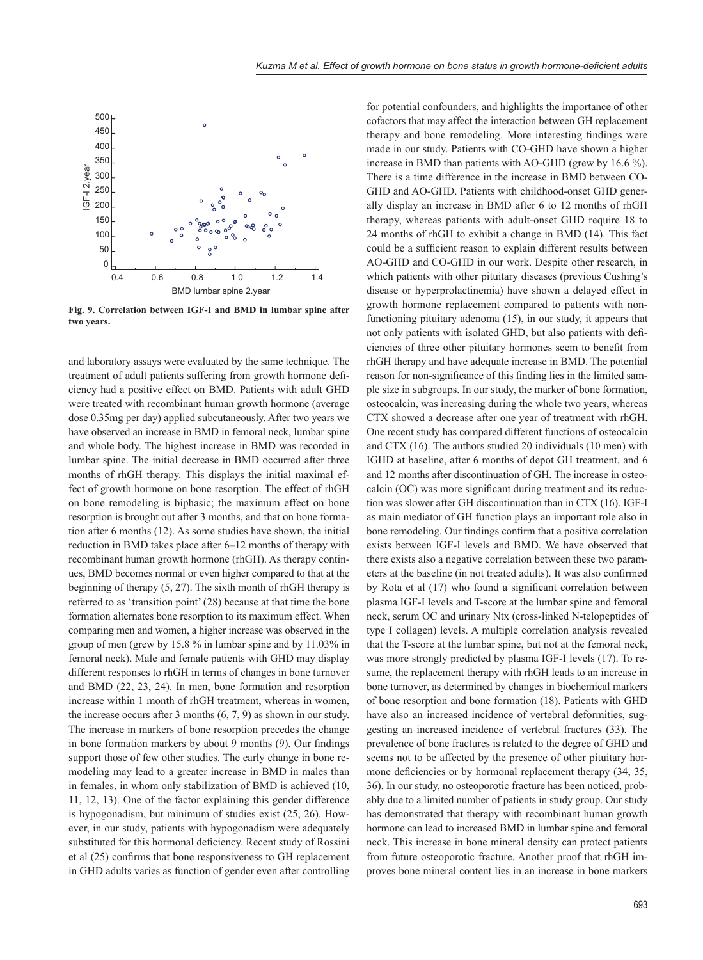

**Fig. 9. Correlation between IGF-I and BMD in lumbar spine after two years.**

and laboratory assays were evaluated by the same technique. The treatment of adult patients suffering from growth hormone deficiency had a positive effect on BMD. Patients with adult GHD were treated with recombinant human growth hormone (average dose 0.35mg per day) applied subcutaneously. After two years we have observed an increase in BMD in femoral neck, lumbar spine and whole body. The highest increase in BMD was recorded in lumbar spine. The initial decrease in BMD occurred after three months of rhGH therapy. This displays the initial maximal effect of growth hormone on bone resorption. The effect of rhGH on bone remodeling is biphasic; the maximum effect on bone resorption is brought out after 3 months, and that on bone formation after 6 months (12). As some studies have shown, the initial reduction in BMD takes place after 6–12 months of therapy with recombinant human growth hormone (rhGH). As therapy continues, BMD becomes normal or even higher compared to that at the beginning of therapy (5, 27). The sixth month of rhGH therapy is referred to as 'transition point' (28) because at that time the bone formation alternates bone resorption to its maximum effect. When comparing men and women, a higher increase was observed in the group of men (grew by 15.8 % in lumbar spine and by 11.03% in femoral neck). Male and female patients with GHD may display different responses to rhGH in terms of changes in bone turnover and BMD (22, 23, 24). In men, bone formation and resorption increase within 1 month of rhGH treatment, whereas in women, the increase occurs after 3 months (6, 7, 9) as shown in our study. The increase in markers of bone resorption precedes the change in bone formation markers by about 9 months (9). Our findings support those of few other studies. The early change in bone remodeling may lead to a greater increase in BMD in males than in females, in whom only stabilization of BMD is achieved (10, 11, 12, 13). One of the factor explaining this gender difference is hypogonadism, but minimum of studies exist (25, 26). However, in our study, patients with hypogonadism were adequately substituted for this hormonal deficiency. Recent study of Rossini et al (25) confirms that bone responsiveness to GH replacement in GHD adults varies as function of gender even after controlling

for potential confounders, and highlights the importance of other cofactors that may affect the interaction between GH replacement therapy and bone remodeling. More interesting findings were made in our study. Patients with CO-GHD have shown a higher increase in BMD than patients with AO-GHD (grew by 16.6 %). There is a time difference in the increase in BMD between CO-GHD and AO-GHD. Patients with childhood-onset GHD generally display an increase in BMD after 6 to 12 months of rhGH therapy, whereas patients with adult-onset GHD require 18 to 24 months of rhGH to exhibit a change in BMD (14). This fact could be a sufficient reason to explain different results between AO-GHD and CO-GHD in our work. Despite other research, in which patients with other pituitary diseases (previous Cushing's disease or hyperprolactinemia) have shown a delayed effect in growth hormone replacement compared to patients with nonfunctioning pituitary adenoma (15), in our study, it appears that not only patients with isolated GHD, but also patients with deficiencies of three other pituitary hormones seem to benefit from rhGH therapy and have adequate increase in BMD. The potential reason for non-significance of this finding lies in the limited sample size in subgroups. In our study, the marker of bone formation, osteocalcin, was increasing during the whole two years, whereas CTX showed a decrease after one year of treatment with rhGH. One recent study has compared different functions of osteocalcin and CTX (16). The authors studied 20 individuals (10 men) with IGHD at baseline, after 6 months of depot GH treatment, and 6 and 12 months after discontinuation of GH. The increase in osteocalcin (OC) was more significant during treatment and its reduction was slower after GH discontinuation than in CTX (16). IGF-I as main mediator of GH function plays an important role also in bone remodeling. Our findings confirm that a positive correlation exists between IGF-I levels and BMD. We have observed that there exists also a negative correlation between these two parameters at the baseline (in not treated adults). It was also confirmed by Rota et al  $(17)$  who found a significant correlation between plasma IGF-I levels and T-score at the lumbar spine and femoral neck, serum OC and urinary Ntx (cross-linked N-telopeptides of type I collagen) levels. A multiple correlation analysis revealed that the T-score at the lumbar spine, but not at the femoral neck, was more strongly predicted by plasma IGF-I levels (17). To resume, the replacement therapy with rhGH leads to an increase in bone turnover, as determined by changes in biochemical markers of bone resorption and bone formation (18). Patients with GHD have also an increased incidence of vertebral deformities, suggesting an increased incidence of vertebral fractures (33). The prevalence of bone fractures is related to the degree of GHD and seems not to be affected by the presence of other pituitary hormone deficiencies or by hormonal replacement therapy (34, 35, 36). In our study, no osteoporotic fracture has been noticed, probably due to a limited number of patients in study group. Our study has demonstrated that therapy with recombinant human growth hormone can lead to increased BMD in lumbar spine and femoral neck. This increase in bone mineral density can protect patients from future osteoporotic fracture. Another proof that rhGH improves bone mineral content lies in an increase in bone markers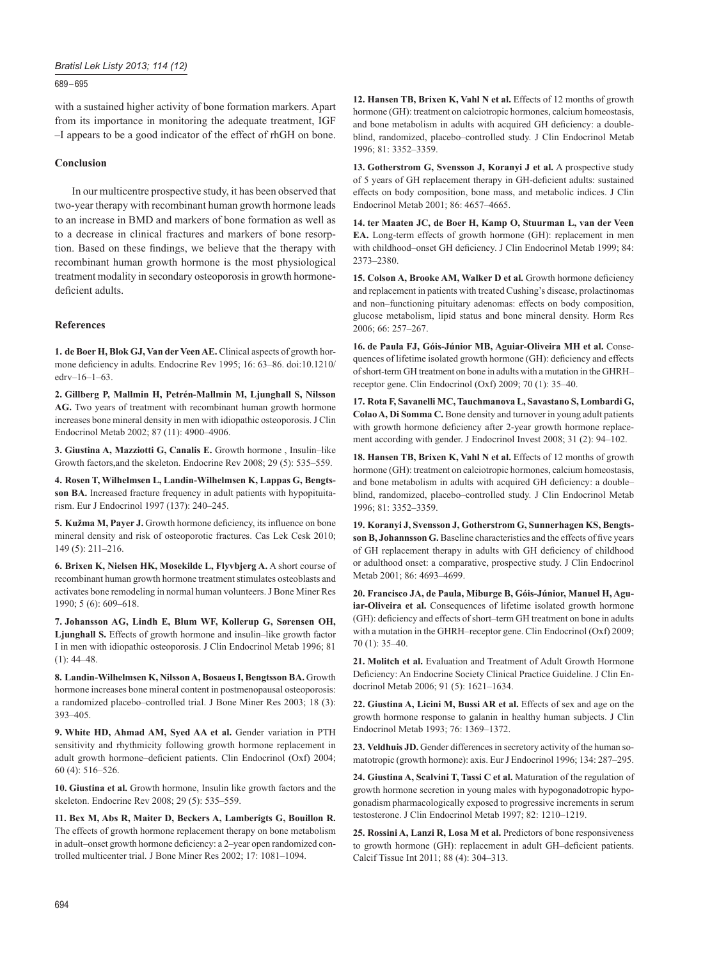# *Bratisl Lek Listy 2013; 114 (12)*

## 689 – 695

with a sustained higher activity of bone formation markers. Apart from its importance in monitoring the adequate treatment, IGF –I appears to be a good indicator of the effect of rhGH on bone.

# **Conclusion**

In our multicentre prospective study, it has been observed that two-year therapy with recombinant human growth hormone leads to an increase in BMD and markers of bone formation as well as to a decrease in clinical fractures and markers of bone resorption. Based on these findings, we believe that the therapy with recombinant human growth hormone is the most physiological treatment modality in secondary osteoporosis in growth hormonedeficient adults.

# **References**

**1. de Boer H, Blok GJ, Van der Veen AE.** Clinical aspects of growth hormone deficiency in adults. Endocrine Rev 1995; 16: 63-86. doi:10.1210/ edrv–16–1–63.

**2. Gillberg P, Mallmin H, Petrén-Mallmin M, Ljunghall S, Nilsson AG.** Two years of treatment with recombinant human growth hormone increases bone mineral density in men with idiopathic osteoporosis. J Clin Endocrinol Metab 2002; 87 (11): 4900–4906.

**3. Giustina A, Mazziotti G, Canalis E.** Growth hormone , Insulin–like Growth factors,and the skeleton. Endocrine Rev 2008; 29 (5): 535–559.

**4. Rosen T, Wilhelmsen L, Landin-Wilhelmsen K, Lappas G, Bengtsson BA.** Increased fracture frequency in adult patients with hypopituitarism. Eur J Endocrinol 1997 (137): 240–245.

5. Kužma M, Payer J. Growth hormone deficiency, its influence on bone mineral density and risk of osteoporotic fractures. Cas Lek Cesk 2010; 149 (5): 211–216.

**6. Brixen K, Nielsen HK, Mosekilde L, Flyvbjerg A.** A short course of recombinant human growth hormone treatment stimulates osteoblasts and activates bone remodeling in normal human volunteers. J Bone Miner Res 1990; 5 (6): 609–618.

**7. Johansson AG, Lindh E, Blum WF, Kollerup G, Sørensen OH, Ljunghall S.** Effects of growth hormone and insulin–like growth factor I in men with idiopathic osteoporosis. J Clin Endocrinol Metab 1996; 81  $(1)$ : 44–48.

**8. Landin-Wilhelmsen K, Nilsson A, Bosaeus I, Bengtsson BA.** Growth hormone increases bone mineral content in postmenopausal osteoporosis: a randomized placebo–controlled trial. J Bone Miner Res 2003; 18 (3): 393–405.

**9. White HD, Ahmad AM, Syed AA et al.** Gender variation in PTH sensitivity and rhythmicity following growth hormone replacement in adult growth hormone–deficient patients. Clin Endocrinol (Oxf) 2004; 60 (4): 516–526.

**10. Giustina et al.** Growth hormone, Insulin like growth factors and the skeleton. Endocrine Rev 2008; 29 (5): 535–559.

**11. Bex M, Abs R, Maiter D, Beckers A, Lamberigts G, Bouillon R.** The effects of growth hormone replacement therapy on bone metabolism in adult–onset growth hormone deficiency: a 2–year open randomized controlled multicenter trial. J Bone Miner Res 2002; 17: 1081–1094.

**12. Hansen TB, Brixen K, Vahl N et al.** Effects of 12 months of growth hormone (GH): treatment on calciotropic hormones, calcium homeostasis, and bone metabolism in adults with acquired GH deficiency: a doubleblind, randomized, placebo–controlled study. J Clin Endocrinol Metab 1996; 81: 3352–3359.

**13. Gotherstrom G, Svensson J, Koranyi J et al.** A prospective study of 5 years of GH replacement therapy in GH-deficient adults: sustained effects on body composition, bone mass, and metabolic indices. J Clin Endocrinol Metab 2001; 86: 4657–4665.

**14. ter Maaten JC, de Boer H, Kamp O, Stuurman L, van der Veen EA.** Long-term effects of growth hormone (GH): replacement in men with childhood–onset GH deficiency. J Clin Endocrinol Metab 1999; 84: 2373–2380.

15. Colson A, Brooke AM, Walker D et al. Growth hormone deficiency and replacement in patients with treated Cushing's disease, prolactinomas and non–functioning pituitary adenomas: effects on body composition, glucose metabolism, lipid status and bone mineral density. Horm Res 2006; 66: 257–267.

**16. de Paula FJ, Góis-Júnior MB, Aguiar-Oliveira MH et al.** Consequences of lifetime isolated growth hormone (GH): deficiency and effects of short-term GH treatment on bone in adults with a mutation in the GHRH– receptor gene. Clin Endocrinol  $(Oxf)$  2009; 70  $(1)$ : 35–40.

**17. Rota F, Savanelli MC, Tauchmanova L, Savastano S, Lombardi G, Colao A, Di Somma C.** Bone density and turnover in young adult patients with growth hormone deficiency after 2-year growth hormone replacement according with gender. J Endocrinol Invest 2008; 31 (2): 94–102.

**18. Hansen TB, Brixen K, Vahl N et al.** Effects of 12 months of growth hormone (GH): treatment on calciotropic hormones, calcium homeostasis, and bone metabolism in adults with acquired GH deficiency: a doubleblind, randomized, placebo–controlled study. J Clin Endocrinol Metab 1996; 81: 3352–3359.

**19. Koranyi J, Svensson J, Gotherstrom G, Sunnerhagen KS, Bengts**son B, Johannsson G. Baseline characteristics and the effects of five years of GH replacement therapy in adults with GH deficiency of childhood or adulthood onset: a comparative, prospective study. J Clin Endocrinol Metab 2001; 86: 4693–4699.

**20. Francisco JA, de Paula, Miburge B, Góis-Júnior, Manuel H, Aguiar-Oliveira et al.** Consequences of lifetime isolated growth hormone (GH): deficiency and effects of short-term GH treatment on bone in adults with a mutation in the GHRH–receptor gene. Clin Endocrinol (Oxf) 2009; 70 (1): 35–40.

**21. Molitch et al.** Evaluation and Treatment of Adult Growth Hormone Deficiency: An Endocrine Society Clinical Practice Guideline. J Clin Endocrinol Metab 2006; 91 (5): 1621–1634.

**22. Giustina A, Licini M, Bussi AR et al.** Effects of sex and age on the growth hormone response to galanin in healthy human subjects. J Clin Endocrinol Metab 1993; 76: 1369–1372.

**23. Veldhuis JD.** Gender differences in secretory activity of the human somatotropic (growth hormone): axis. Eur J Endocrinol 1996; 134: 287–295.

**24. Giustina A, Scalvini T, Tassi C et al.** Maturation of the regulation of growth hormone secretion in young males with hypogonadotropic hypogonadism pharmacologically exposed to progressive increments in serum testosterone. J Clin Endocrinol Metab 1997; 82: 1210–1219.

**25. Rossini A, Lanzi R, Losa M et al.** Predictors of bone responsiveness to growth hormone (GH): replacement in adult GH-deficient patients. Calcif Tissue Int 2011; 88 (4): 304–313.